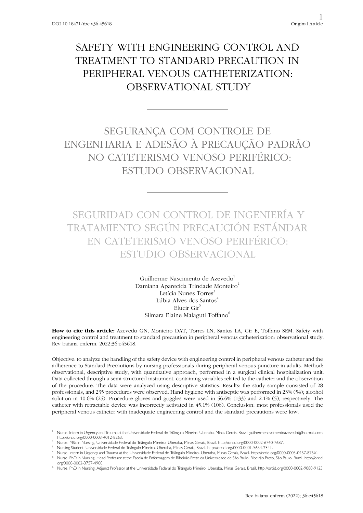# SAFETY WITH ENGINEERING CONTROL AND TREATMENT TO STANDARD PRECAUTION IN PERIPHERAL VENOUS CATHETERIZATION: OBSERVATIONAL STUDY

# SEGURANÇA COM CONTROLE DE ENGENHARIA E ADESÃO À PRECAUÇÃO PADRÃO NO CATETERISMO VENOSO PERIFÉRICO: ESTUDO OBSERVACIONAL

SEGURIDAD CON CONTROL DE INGENIERÍA Y TRATAMIENTO SEGÚN PRECAUCIÓN ESTÁNDAR EN CATETERISMO VENOSO PERIFÉRICO: ESTUDIO OBSERVACIONAL

> Guilherme Nascimento de Azevedo<sup>1</sup> Damiana Aparecida Trindade Monteiro<sup>2</sup> Letícia Nunes Torres<sup>3</sup> Lúbia Alves dos Santos<sup>4</sup> Elucir Gir<sup>5</sup> Silmara Elaine Malaguti Toffano<sup>6</sup>

How to cite this article: Azevedo GN, Monteiro DAT, Torres LN, Santos LA, Gir E, Toffano SEM. Safety with engineering control and treatment to standard precaution in peripheral venous catheterization: observational study. Rev baiana enferm. 2022;36:e45618.

Objective: to analyze the handling of the safety device with engineering control in peripheral venous catheter and the adherence to Standard Precautions by nursing professionals during peripheral venous puncture in adults. Method: observational, descriptive study, with quantitative approach, performed in a surgical clinical hospitalization unit. Data collected through a semi-structured instrument, containing variables related to the catheter and the observation of the procedure. The data were analyzed using descriptive statistics. Results: the study sample consisted of 28 professionals, and 235 procedures were observed. Hand hygiene with antiseptic was performed in 23% (54); alcohol solution in 10.6% (25). Procedure gloves and goggles were used in 56.6% (133) and 2.1% (5), respectively. The catheter with retractable device was incorrectly activated in 45.1% (106). Conclusion: most professionals used the peripheral venous catheter with inadequate engineering control and the standard precautions were low.

<sup>1</sup> Nurse. Intern in Urgency and Trauma at the Universidade Federal do Triângulo Mineiro. Uberaba, Minas Gerais, Brazil. guilhermenascimentoazevedo@hotmail.com. http://orcid.org/0000-0003-4012-8263.

<sup>2</sup> Nurse. MSc in Nursing. Universidade Federal do Triângulo Mineiro. Uberaba, Minas Gerais, Brazil. http://orcid.org/0000-0002-6740-7687.

<sup>3</sup> Nursing Student. Universidade Federal do Triângulo Mineiro. Uberaba, Minas Gerais, Brazil. http://orcid.org/0000-0001-5654-2341.

<sup>4</sup> Nurse. Intern in Urgency and Trauma at the Universidade Federal do Triângulo Mineiro. Uberaba, Minas Gerais, Brazil. http://orcid.org/0000-0003-0467-876X. <sup>5</sup> Nurse. PhD in Nursing. Head Professor at the Escola de Enfermagem de Ribeirão Preto da Universidade de São Paulo. Ribeirão Preto, São Paulo, Brazil. http://orcid. org/0000-0002-3757-4900.

<sup>6</sup> Nurse. PhD in Nursing. Adjunct Professor at the Universidade Federal do Triângulo Mineiro. Uberaba, Minas Gerais, Brazil. http://orcid.org/0000-0002-9080-9123.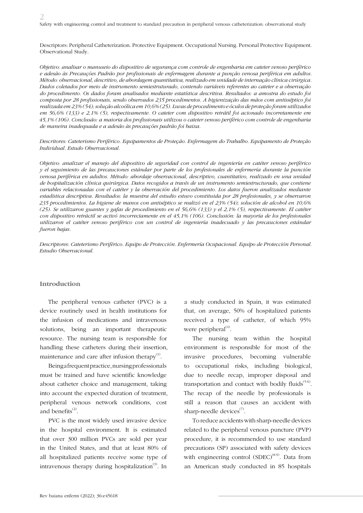Descriptors: Peripheral Catheterization. Protective Equipment. Occupational Nursing. Personal Protective Equipment. Observational Study.

*Objetivo: analisar o manuseio do dispositivo de segurança com controle de engenharia em cateter venoso periférico e adesão às Precauções Padrão por profissionais de enfermagem durante a punção venosa periférica em adultos. Método: observacional, descritivo, de abordagem quantitativa, realizado em unidade de internação clínica cirúrgica. Dados coletados por meio de instrumento semiestruturado, contendo variáveis referentes ao cateter e a observação do procedimento. Os dados foram analisados mediante estatística descritiva. Resultados: a amostra do estudo foi composta por 28 profissionais, sendo observados 235 procedimentos. A higienização das mãos com antisséptico foi realizada em 23% (54); solução alcoólica em 10,6% (25). Luvas de procedimento e óculos de proteção foram utilizados em 56,6% (133) e 2,1% (5), respectivamente. O cateter com dispositivo retrátil foi acionado incorretamente em 45,1% (106). Conclusão: a maioria dos profissionais utilizou o cateter venoso periférico com controle de engenharia de maneira inadequada e a adesão às precauções padrão foi baixa.*

*Descritores: Cateterismo Periférico. Equipamentos de Proteção. Enfermagem do Trabalho. Equipamento de Proteção Individual. Estudo Observacional.*

*Objetivo: analizar el manejo del dispositivo de seguridad con control de ingeniería en catéter venoso periférico y el seguimiento de las precauciones estándar por parte de los profesionales de enfermería durante la punción venosa periférica en adultos. Método: abordaje observacional, descriptivo, cuantitativo, realizado en una unidad de hospitalización clínica quirúrgica. Datos recogidos a través de un instrumento semiestructurado, que contiene variables relacionadas con el catéter y la observación del procedimiento. Los datos fueron analizados mediante estadística descriptiva. Resultados: la muestra del estudio estuvo constituida por 28 profesionales, y se observaron 235 procedimientos. La higiene de manos con antiséptico se realizó en el 23% (54); solución de alcohol en 10,6% (25). Se utilizaron guantes y gafas de procedimiento en el 56,6% (133) y el 2,1% (5), respectivamente. El catéter con dispositivo retráctil se activó incorrectamente en el 45,1% (106). Conclusión: la mayoría de los profesionales utilizaron el catéter venoso periférico con un control de ingeniería inadecuado y las precauciones estándar fueron bajas.*

*Descriptores: Cateterismo Periférico. Equipo de Protección. Enfermería Ocupacional. Equipo de Protección Personal. Estudio Observacional.*

#### **Introduction**

The peripheral venous catheter (PVC) is a device routinely used in health institutions for the infusion of medications and intravenous solutions, being an important therapeutic resource. The nursing team is responsible for handling these catheters during their insertion, maintenance and care after infusion therapy $^{(1)}$ .

Being a frequent practice, nursing professionals must be trained and have scientific knowledge about catheter choice and management, taking into account the expected duration of treatment, peripheral venous network conditions, cost and benefits $^{(2)}$ .

PVC is the most widely used invasive device in the hospital environment. It is estimated that over 300 million PVCs are sold per year in the United States, and that at least 80% of all hospitalized patients receive some type of intravenous therapy during hospitalization $(3)$ . In

a study conducted in Spain, it was estimated that, on average, 50% of hospitalized patients received a type of catheter, of which 95% were peripheral $^{(4)}$ .

The nursing team within the hospital environment is responsible for most of the invasive procedures, becoming vulnerable to occupational risks, including biological, due to needle recap, improper disposal and transportation and contact with bodily fluids $(5-6)$ . The recap of the needle by professionals is still a reason that causes an accident with sharp-needle devices $\sqrt[7]{2}$ .

To reduce accidents with sharp-needle devices related to the peripheral venous puncture (PVP) procedure, it is recommended to use standard precautions (SP) associated with safety devices with engineering control  $(SDEC)^{(8-9)}$ . Data from an American study conducted in 85 hospitals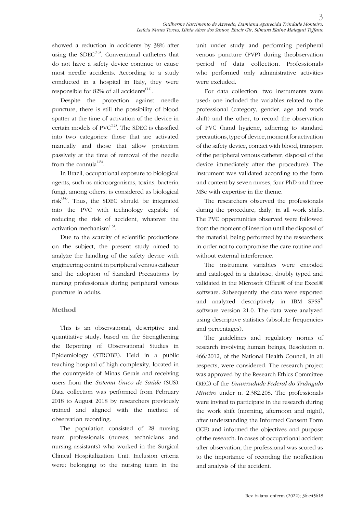showed a reduction in accidents by 38% after using the  $SDEC^{(10)}$ . Conventional catheters that do not have a safety device continue to cause most needle accidents. According to a study conducted in a hospital in Italy, they were responsible for 82% of all accidents<sup> $(11)$ </sup>.

Despite the protection against needle puncture, there is still the possibility of blood spatter at the time of activation of the device in certain models of  $PVC^{(12)}$ . The SDEC is classified into two categories: those that are activated manually and those that allow protection passively at the time of removal of the needle from the cannula $^{(13)}$ .

In Brazil, occupational exposure to biological agents, such as microorganisms, toxins, bacteria, fungi, among others, is considered as biological risk $^{(14)}$ . Thus, the SDEC should be integrated into the PVC with technology capable of reducing the risk of accident, whatever the activation mechanism $^{(15)}$ .

Due to the scarcity of scientific productions on the subject, the present study aimed to analyze the handling of the safety device with engineering control in peripheral venous catheter and the adoption of Standard Precautions by nursing professionals during peripheral venous puncture in adults.

## **Method**

This is an observational, descriptive and quantitative study, based on the Strengthening the Reporting of Observational Studies in Epidemiology (STROBE). Held in a public teaching hospital of high complexity, located in the countryside of Minas Gerais and receiving users from the *Sistema Único de Saúde* (SUS). Data collection was performed from February 2018 to August 2018 by researchers previously trained and aligned with the method of observation recording.

The population consisted of 28 nursing team professionals (nurses, technicians and nursing assistants) who worked in the Surgical Clinical Hospitalization Unit. Inclusion criteria were: belonging to the nursing team in the unit under study and performing peripheral venous puncture (PVP) during theobservation period of data collection. Professionals who performed only administrative activities were excluded.

For data collection, two instruments were used: one included the variables related to the professional (category, gender, age and work shift) and the other, to record the observation of PVC (hand hygiene, adhering to standard precautions, type of device, moment for activation of the safety device, contact with blood, transport of the peripheral venous catheter, disposal of the device immediately after the procedure). The instrument was validated according to the form and content by seven nurses, four PhD and three MSc with expertise in the theme.

The researchers observed the professionals during the procedure, daily, in all work shifts. The PVC opportunities observed were followed from the moment of insertion until the disposal of the material, being performed by the researchers in order not to compromise the care routine and without external interference.

The instrument variables were encoded and cataloged in a database, doubly typed and validated in the Microsoft Office® of the Excel® software. Subsequently, the data were exported and analyzed descriptively in IBM SPSS® software version 21.0. The data were analyzed using descriptive statistics (absolute frequencies and percentages).

The guidelines and regulatory norms of research involving human beings, Resolution n. 466/2012, of the National Health Council, in all respects, were considered. The research project was approved by the Research Ethics Committee (REC) of the *Universidade Federal do Triângulo Mineiro* under n. 2.382.208. The professionals were invited to participate in the research during the work shift (morning, afternoon and night), after understanding the Informed Consent Form (ICF) and informed the objectives and purpose of the research. In cases of occupational accident after observation, the professional was scored as to the importance of recording the notification and analysis of the accident.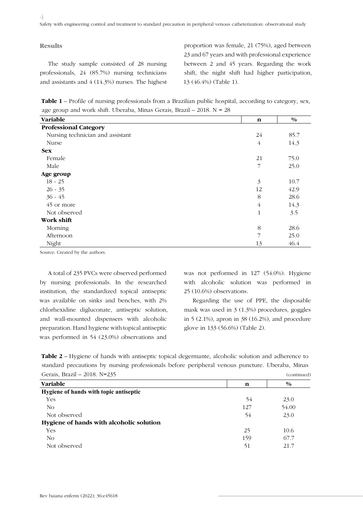#### **Results**

The study sample consisted of 28 nursing professionals, 24 (85.7%) nursing technicians and assistants and 4 (14.3%) nurses. The highest proportion was female, 21 (75%), aged between 23 and 67 years and with professional experience between 2 and 45 years. Regarding the work shift, the night shift had higher participation, 13 (46.4%) (Table 1).

**Table 1** – Profile of nursing professionals from a Brazilian public hospital, according to category, sex, age group and work shift. Uberaba, Minas Gerais, Brazil – 2018. N = 28

| Variable                         | n              | $\frac{0}{0}$ |
|----------------------------------|----------------|---------------|
| <b>Professional Category</b>     |                |               |
| Nursing technician and assistant | 24             | 85.7          |
| Nurse                            | $\overline{4}$ | 14.3          |
| <b>Sex</b>                       |                |               |
| Female                           | 21             | 75.0          |
| Male                             | 7              | 25.0          |
| Age group                        |                |               |
| $18 - 25$                        | 3              | 10.7          |
| $26 - 35$                        | 12             | 42.9          |
| $36 - 45$                        | 8              | 28.6          |
| 45 or more                       | $\overline{4}$ | 14.3          |
| Not observed                     | $\mathbf{1}$   | 3.5           |
| Work shift                       |                |               |
| Morning                          | 8              | 28.6          |
| Afternoon                        | 7              | 25.0          |
| Night                            | 13             | 46.4          |

Source: Created by the authors.

A total of 235 PVCs were observed performed by nursing professionals. In the researched institution, the standardized topical antiseptic was available on sinks and benches, with 2% chlorhexidine digluconate, antiseptic solution, and wall-mounted dispensers with alcoholic preparation. Hand hygiene with topical antiseptic was performed in 54 (23.0%) observations and

was not performed in 127 (54.0%). Hygiene with alcoholic solution was performed in 25 (10.6%) observations.

Regarding the use of PPE, the disposable mask was used in 3 (1.3%) procedures, goggles in 5 (2.1%), apron in 38 (16.2%), and procedure glove in 133 (56.6%) (Table 2).

**Table 2** – Hygiene of hands with antiseptic topical degermante, alcoholic solution and adherence to standard precautions by nursing professionals before peripheral venous puncture. Uberaba, Minas Gerais, Brazil – 2018. N=235 (continued)

| Variable                                 | n   | $\frac{0}{0}$ |  |
|------------------------------------------|-----|---------------|--|
| Hygiene of hands with topic antiseptic   |     |               |  |
| Yes                                      | 54  | 23.0          |  |
| No                                       | 127 | 54.00         |  |
| Not observed                             | 54  | 23.0          |  |
| Hygiene of hands with alcoholic solution |     |               |  |
| <b>Yes</b>                               | 25  | 10.6          |  |
| No                                       | 159 | 67.7          |  |
| Not observed                             | 51  | 21.7          |  |
|                                          |     |               |  |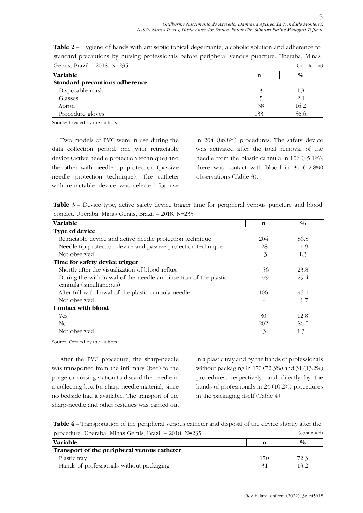| Gerais, Brazil - 2018. N=235   |    | (conclusion)  |
|--------------------------------|----|---------------|
| <b>Variable</b>                | n  | $\frac{0}{0}$ |
| Standard precautions adherence |    |               |
| Disposable mask                |    | 1.3           |
| Glasses                        |    | 2.1           |
| Apron                          | 38 | 16.2          |

Procedure gloves 56.6

**Table 2** – Hygiene of hands with antiseptic topical degermante, alcoholic solution and adherence to standard precautions by nursing professionals before peripheral venous puncture. Uberaba, Minas

Source: Created by the authors.

Two models of PVC were in use during the data collection period, one with retractable device (active needle protection technique) and the other with needle tip protection (passive needle protection technique). The catheter with retractable device was selected for use in 204 (86.8%) procedures. The safety device was activated after the total removal of the needle from the plastic cannula in 106 (45.1%); there was contact with blood in 30 (12.8%) observations (Table 3).

Table 3 - Device type, active safety device trigger time for peripheral venous puncture and blood contact. Uberaba, Minas Gerais, Brazil – 2018. N=235

| <b>Variable</b>                                                                            | $\mathbf n$ | $\frac{0}{0}$ |
|--------------------------------------------------------------------------------------------|-------------|---------------|
| <b>Type of device</b>                                                                      |             |               |
| Retractable device and active needle protection technique                                  | 204         | 86.8          |
| Needle tip protection device and passive protection technique                              | 28          | 11.9          |
| Not observed                                                                               | 3           | 1.3           |
| Time for safety device trigger                                                             |             |               |
| Shortly after the visualization of blood reflux                                            | 56          | 23.8          |
| During the withdrawal of the needle and insertion of the plastic<br>cannula (simultaneous) | 69          | 29.4          |
| After full withdrawal of the plastic cannula needle                                        | 106         | 45.1          |
| Not observed                                                                               | 4           | 1.7           |
| <b>Contact with blood</b>                                                                  |             |               |
| <b>Yes</b>                                                                                 | 30          | 12.8          |
| No.                                                                                        | 202         | 86.0          |
| Not observed                                                                               | 3           | 1.3           |

Source: Created by the authors.

After the PVC procedure, the sharp-needle was transported from the infirmary (bed) to the purge or nursing station to discard the needle in a collecting box for sharp-needle material, since no bedside had it available. The transport of the sharp-needle and other residues was carried out in a plastic tray and by the hands of professionals without packaging in 170 (72.3%) and 31 (13.2%) procedures, respectively, and directly by the hands of professionals in 24 (10.2%) procedures in the packaging itself (Table 4).

**Table 4** – Transportation of the peripheral venous catheter and disposal of the device shortly after the procedure. Uberaba, Minas Gerais, Brazil – 2018. N=235 (continued)

| <b>Variable</b>                             |     | $\frac{0}{0}$ |
|---------------------------------------------|-----|---------------|
| Transport of the peripheral venous catheter |     |               |
| Plastic tray                                | 170 | 72.3          |
| Hands of professionals without packaging    |     | 13.2          |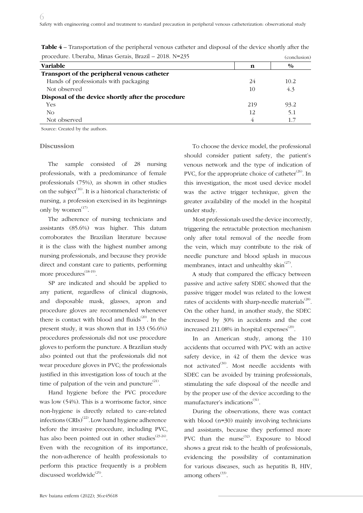| <b>Variable</b>                                    | n   | $\frac{0}{0}$ |  |
|----------------------------------------------------|-----|---------------|--|
| Transport of the peripheral venous catheter        |     |               |  |
| Hands of professionals with packaging              | 24  | 10.2          |  |
| Not observed                                       | 10  | 4.3           |  |
| Disposal of the device shortly after the procedure |     |               |  |
| <b>Yes</b>                                         | 219 | 93.2          |  |
| No                                                 | 12  | 5.1           |  |
| Not observed                                       |     |               |  |
|                                                    |     |               |  |

| <b>Table 4 –</b> Transportation of the peripheral venous catheter and disposal of the device shortly after the |              |
|----------------------------------------------------------------------------------------------------------------|--------------|
| procedure. Uberaba, Minas Gerais, Brazil - 2018. N=235                                                         | (conclusion) |

Source: Created by the authors.

#### **Discussion**

The sample consisted of 28 nursing professionals, with a predominance of female professionals (75%), as shown in other studies on the subject<sup>(16)</sup>. It is a historical characteristic of nursing, a profession exercised in its beginnings only by women $^{(17)}$ .

The adherence of nursing technicians and assistants (85.6%) was higher. This datum corroborates the Brazilian literature because it is the class with the highest number among nursing professionals, and because they provide direct and constant care to patients, performing more procedures<sup>(18-19)</sup>.

SP are indicated and should be applied to any patient, regardless of clinical diagnosis, and disposable mask, glasses, apron and procedure gloves are recommended whenever there is contact with blood and fluids $(20)$ . In the present study, it was shown that in 133 (56.6%) procedures professionals did not use procedure gloves to perform the puncture. A Brazilian study also pointed out that the professionals did not wear procedure gloves in PVC; the professionals justified in this investigation loss of touch at the time of palpation of the vein and puncture $^{(21)}$ .

Hand hygiene before the PVC procedure was low (54%). This is a worrisome factor, since non-hygiene is directly related to care-related infections  $(CRIs)^{(22)}$ . Low hand hygiene adherence before the invasive procedure, including PVC, has also been pointed out in other studies $^{(23-24)}$ . Even with the recognition of its importance, the non-adherence of health professionals to perform this practice frequently is a problem discussed worldwide<sup>(25)</sup>.

To choose the device model, the professional should consider patient safety, the patient's venous network and the type of indication of PVC, for the appropriate choice of catheter $(26)$ . In this investigation, the most used device model was the active trigger technique, given the greater availability of the model in the hospital under study.

Most professionals used the device incorrectly, triggering the retractable protection mechanism only after total removal of the needle from the vein, which may contribute to the risk of needle puncture and blood splash in mucous membranes, intact and unhealthy skin<sup> $(27)$ </sup>.

A study that compared the efficacy between passive and active safety SDEC showed that the passive trigger model was related to the lowest rates of accidents with sharp-needle materials $^{(28)}$ . On the other hand, in another study, the SDEC increased by 30% in accidents and the cost increased 211.08% in hospital expenses $^{(29)}$ .

In an American study, among the 110 accidents that occurred with PVC with an active safety device, in 42 of them the device was not activated $^{(30)}$ . Most needle accidents with SDEC can be avoided by training professionals, stimulating the safe disposal of the needle and by the proper use of the device according to the manufacturer's indications<sup>(31)</sup>.

During the observations, there was contact with blood (n=30) mainly involving technicians and assistants, because they performed more PVC than the nurse<sup>(32)</sup>. Exposure to blood shows a great risk to the health of professionals, evidencing the possibility of contamination for various diseases, such as hepatitis B, HIV, among others $^{(33)}$ .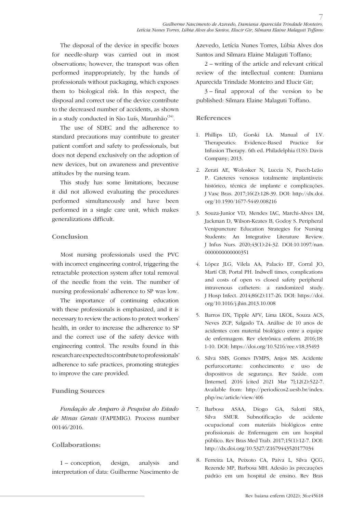The disposal of the device in specific boxes for needle-sharp was carried out in most observations; however, the transport was often performed inappropriately, by the hands of professionals without packaging, which exposes them to biological risk. In this respect, the disposal and correct use of the device contribute to the decreased number of accidents, as shown in a study conducted in São Luís, Maranhão $^{(34)}$ .

The use of SDEC and the adherence to standard precautions may contribute to greater patient comfort and safety to professionals, but does not depend exclusively on the adoption of new devices, but on awareness and preventive attitudes by the nursing team.

This study has some limitations, because it did not allowed evaluating the procedures performed simultaneously and have been performed in a single care unit, which makes generalizations difficult.

## **Conclusion**

Most nursing professionals used the PVC with incorrect engineering control, triggering the retractable protection system after total removal of the needle from the vein. The number of nursing professionals' adherence to SP was low.

The importance of continuing education with these professionals is emphasized, and it is necessary to review the actions to protect workers' health, in order to increase the adherence to SP and the correct use of the safety device with engineering control. The results found in this research are expected to contribute to professionals' adherence to safe practices, promoting strategies to improve the care provided.

## **Funding Sources**

*Fundação de Amparo à Pesquisa do Estado de Minas Gerais* (FAPEMIG). Process number 00146/2016.

## **Collaborations:**

1 – conception, design, analysis and interpretation of data: Guilherme Nascimento de Azevedo, Letícia Nunes Torres, Lúbia Alves dos Santos and Silmara Elaine Malaguti Toffano;

2 – writing of the article and relevant critical review of the intellectual content: Damiana Aparecida Trindade Monteiro and Elucir Gir;

3 – final approval of the version to be published: Silmara Elaine Malaguti Toffano.

## **References**

- 1. Phillips LD, Gorski LA. Manual of I.V. Therapeutics: Evidence-Based Practice for Infusion Therapy. 6th ed. Philadelphia (US): Davis Company; 2013.
- 2. Zerati AE, Wolosker N, Luccia N, Puech-Leão P. Cateteres venosos totalmente implantáveis: histórico, técnica de implante e complicações. J Vasc Bras. 2017;16(2):128-39. DOI: http://dx.doi. org/10.1590/1677-5449.008216
- 3. Souza-Junior VD, Mendes IAC, Marchi-Alves LM, Jackman D, Wilson-Keates B, Godoy S. Peripheral Venipuncture Education Strategies for Nursing Students: An Integrative Literature Review. J Infus Nurs. 2020;43(1):24-32. DOI:10.1097/nan. 0000000000000000351
- 4. López JLG, Vilela AA, Palacio EF, Corral JO, Martí CB, Portal PH. Indwell times, complications and costs of open vs closed safety peripheral intravenous catheters: a randomized study. J Hosp Infect. 2014;86(2):117-26. DOI: https://doi. org/10.1016/j.jhin.2013.10.008
- 5. Barros DX, Tipple AFV, Lima LKOL, Souza ACS, Neves ZCP, Salgado TA. Análise de 10 anos de acidentes com material biológico entre a equipe de enfermagem. Rev eletrônica enferm. 2016;18: 1-10. DOI: https://doi.org/10.5216/ree.v18.35493
- 6. Silva SMS, Gomes IVMPS, Anjos MS. Acidente perfurocortante: conhecimento e uso de dispositivos de segurança. Rev Saúde. com [Internet]. 2016 [cited 2021 Mar 7];12(2):522-7. Available from: http://periodicos2.uesb.br/index. php/rsc/article/view/406
- 7. Barbosa ASAA, Diogo GA, Salotti SRA, Silva SMUR. Subnotificação de acidente ocupacional com materiais biológicos entre profissionais de Enfermagem em um hospital público. Rev Bras Med Trab. 2017;15(1):12-7. DOI: http://dx.doi.org/10.5327/Z1679443520177034
- 8. Ferreira LA, Peixoto CA, Paiva L, Silva QCG, Rezende MP, Barbosa MH. Adesão às precauções padrão em um hospital de ensino. Rev Bras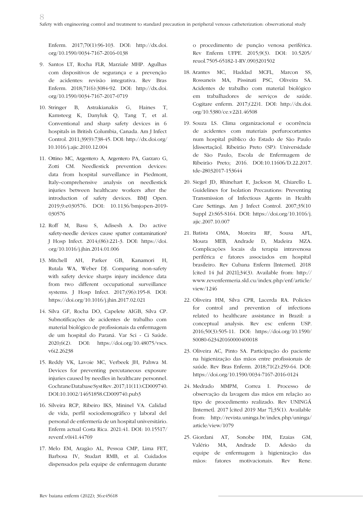Enferm. 2017;70(1):96-103. DOI: http://dx.doi. org/10.1590/0034-7167-2016-0138

8

- 9. Santos LT, Rocha FLR, Marziale MHP. Agulhas com dispositivos de segurança e a prevenção de acidentes: revisão integrativa. Rev Bras Enferm. 2018;71(6):3084-92. DOI: http://dx.doi. org/10.1590/0034-7167-2017-0719
- 10. Stringer B, Astrakianakis G, Haines T, Kamsteeg K, Danyluk Q, Tang T, et al. Conventional and sharp safety devices in 6 hospitals in British Columbia, Canada. Am J Infect Control. 2011;39(9):738-45. DOI: http://dx.doi.org/ 10.1016/j.ajic.2010.12.004
- 11. Ottino MC, Argentero A, Argentero PA, Garzaro G, Zotti CM. Needlestick prevention devices: data from hospital surveillance in Piedmont, Italy–comprehensive analysis on needlestick injuries between healthcare workers after the introduction of safety devices. BMJ Open. 2019;9:e030576. DOI: 10.1136/bmjopen-2019- 030576
- 12. Roff M, Basu S, Adisesh A. Do active safety-needle devices cause spatter contamination? J Hosp Infect. 2014;(86):221-3. DOI: https://doi. org/10.1016/j.jhin.2014.01.006
- 13. Mitchell AH, Parker GB, Kanamori H, Rutala WA, Weber DJ. Comparing non-safety with safety device sharps injury incidence data from two different occupational surveillance systems. J Hosp Infect. 2017;(96):195-8. DOI: https://doi.org/10.1016/j.jhin.2017.02.021
- 14. Silva GF, Rocha DO, Capelete AIGB, Silva CP. Subnotificações de acidentes de trabalho com material biológico de profissionais da enfermagem de um hospital do Paraná. Var Sci - Ci Saúde. 2020;6(2). DOI: https://doi.org/10.48075/vscs. v6i2.26238
- 15. Reddy VK, Lavoie MC, Verbeek JH, Pahwa M. Devices for preventing percutaneous exposure injuries caused by needles in healthcare personnel. Cochrane Database Syst Rev. 2017;11(11):CD009740. DOI:10.1002/14651858.CD009740.pub3
- 16. Silveira RCP, Ribeiro IKS, Mininel VA. Calidad de vida, perfil sociodemográfico y laboral del personal de enfermería de un hospital universitário. Enferm actual Costa Rica. 2021:41. DOI: 10.15517/ revenf.v0i41.44769
- 17. Melo EM, Aragão AL, Pessoa CMP, Lima FET, Barbosa IV, Studart RMB, et al. Cuidados dispensados pela equipe de enfermagem durante

o procedimento de punção venosa periférica. Rev Enferm UFPE. 2015;9(3). DOI: 10.5205/ reuol.7505-65182-1-RV.0903201502

- 18. Arantes MC, Haddad MCFL, Marcon SS, Rossaneis MA, Pissinati PSC, Oliveira SA. Acidentes de trabalho com material biológico em trabalhadores de serviços de saúde. Cogitare enferm. 2017;(22)1. DOI: http://dx.doi. org/10.5380/ce.v22i1.46508
- 19. Souza LS. Clima organizacional e ocorrência de acidentes com materiais perfurocortantes num hospital público do Estado de São Paulo [dissertação]. Ribeirão Preto (SP): Universidade de São Paulo, Escola de Enfermagem de Ribeirão Preto; 2016. DOI:10.11606/D.22.2017. tde-28032017-153644
- 20. Siegel JD, Rhinehart E, Jackson M, Chiarello L. Guidelines for Isolation Precautions: Preventing Transmission of Infectious Agents in Health Care Settings. Am J Infect Control. 2007;35(10 Suppl 2):S65-S164. DOI: https://doi.org/10.1016/j. ajic.2007.10.007
- 21. Batista OMA, Moreira RF, Sousa AFL, Moura MEB, Andrade D, Madeira MZA. Complicações locais da terapia intravenosa periférica e fatores associados em hospital brasileiro. Rev Cubana Enferm [Internet]. 2018 [cited 14 Jul 2021];34(3). Available from: http:// www.revenfermeria.sld.cu/index.php/enf/article/ view/1246
- 22. Oliveira HM, Silva CPR, Lacerda RA. Policies for control and prevention of infections related to healthcare assistance in Brazil: a conceptual analysis. Rev esc enferm USP. 2016;50(3):505-11. DOI: https://doi.org/10.1590/ S0080-623420160000400018
- 23. Oliveira AC, Pinto SA. Participação do paciente na higienização das mãos entre profissionais de saúde. Rev Bras Enferm. 2018;71(2):259-64. DOI: https://doi.org/10.1590/0034-7167-2016-0124
- 24. Medrado MMPM, Correa I. Processo de observação da lavagem das mãos em relação ao tipo de procedimento realizado. Rev UNINGÁ [Internet]. 2017 [cited 2019 Mar 7];35(1). Available from: http://revista.uninga.br/index.php/uninga/ article/view/1079
- 25. Giordani AT, Sonobe HM, Ezaias GM, Valério MA, Andrade D. Adesão da equipe de enfermagem à higienização das mãos: fatores motivacionais. Rev Rene.